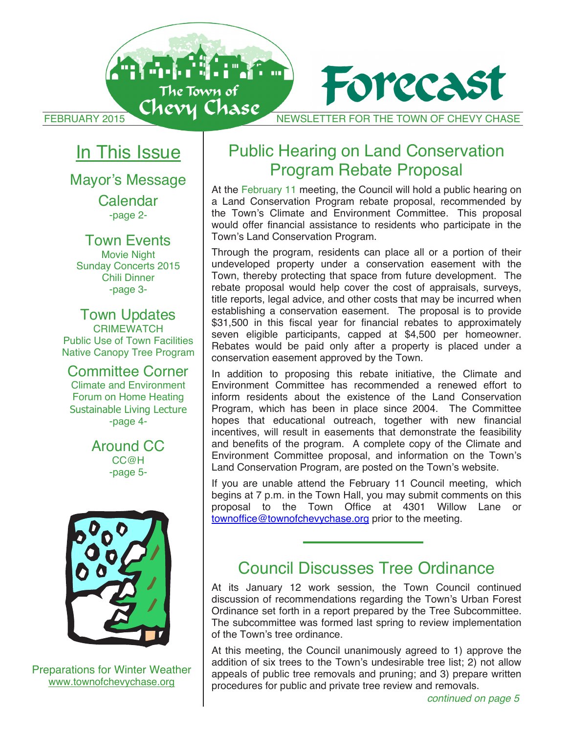

# <u>In This Issue</u>

Mayor's Message Mayor's Message

Calendar Calendar -page 2- -page 2-

Town Events Town Events Movie Night Movie Night Sunday Concerts 2015 Sunday Concerts 2015 Chili Dinner Chili Dinner -page 3- -page 3-

Town Updates Town Updates CRIMEWATCH CRIMEWATCH Public Use of Town Facilities Public Use of Town Facilities Native Canopy Tree Program Native Canopy Tree Program

Committee Corner Committee Corner

Climate and Environment Climate and Environment Forum on Home Heating Forum on Home Heating Sustainable Living Lecture Sustainable Living Lecture -page 4- -page 4-

> Around CC Around CC CC@H CC@H -page 5- -page 5-



Preparations for Winter Weather Preparations for Winter Weather www.townofchevychase.org www.townofchevychase.org

## Public Hearing on Land Conservation Public Hearing on Land Conservation Program Rebate Proposal Program Rebate Proposal

At the February 11 meeting, the Council will hold a public hearing on At the February 11 meeting, the Council will hold a public hearing on a Land Conservation Program rebate proposal, recommended by a Land Conservation Program rebate proposal, recommended by the Town's Climate and Environment Committee. This proposal the Town's Climate and Environment Committee. This proposal would offer financial assistance to residents who participate in the would offer financial assistance to residents who participate in the Town's Land Conservation Program. Town's Land Conservation Program.

Through the program, residents can place all or a portion of their Through the program, residents can place all or a portion of their undeveloped property under a conservation easement with the undeveloped property under a conservation easement with the Town, thereby protecting that space from future development. The Town, thereby protecting that space from future development. The rebate proposal would help cover the cost of appraisals, surveys, rebate proposal would help cover the cost of appraisals, surveys, title reports, legal advice, and other costs that may be incurred when title reports, legal advice, and other costs that may be incurred when establishing a conservation easement. The proposal is to provide establishing a conservation easement. The proposal is to provide \$31,500 in this fiscal year for financial rebates to approximately \$31,500 in this fiscal year for financial rebates to approximately seven eligible participants, capped at \$4,500 per homeowner. seven eligible participants, capped at \$4,500 per homeowner. Rebates would be paid only after a property is placed under a Rebates would be paid only after a property is placed under a conservation easement approved by the Town. conservation easement approved by the Town.

In addition to proposing this rebate initiative, the Climate and In addition to proposing this rebate initiative, the Climate and Environment Committee has recommended a renewed effort to Environment Committee has recommended a renewed effort to inform residents about the existence of the Land Conservation inform residents about the existence of the Land Conservation Program, which has been in place since 2004. The Committee Program, which has been in place since 2004. The Committee hopes that educational outreach, together with new financial hopes that educational outreach, together with new financial incentives, will result in easements that demonstrate the feasibility incentives, will result in easements that demonstrate the feasibility and benefits of the program. A complete copy of the Climate and and benefits of the program. A complete copy of the Climate and Environment Committee proposal, and information on the Town's Environment Committee proposal, and information on the Town's Land Conservation Program, are posted on the Town's website. Land Conservation Program, are posted on the Town's website.

If you are unable attend the February 11 Council meeting, which If you are unable attend the February 11 Council meeting, which begins at 7 p.m. in the Town Hall, you may submit comments on this begins at 7 p.m. in the Town Hall, you may submit comments on this proposal to the Town Office at 4301 Willow Lane or proposal to the Town Office at 4301 Willow Lane or townoffice@townofchevychase.org prior to the meeting.

# Council Discusses Tree Ordinance Council Discusses Tree Ordinance

At its January 12 work session, the Town Council continued At its January 12 work session, the Town Council continued discussion of recommendations regarding the Town's Urban Forest discussion of recommendations regarding the Town's Urban Forest Ordinance set forth in a report prepared by the Tree Subcommittee. Ordinance set forth in a report prepared by the Tree Subcommittee. The subcommittee was formed last spring to review implementation The subcommittee was formed last spring to review implementation of the Town's tree ordinance. of the Town's tree ordinance.

At this meeting, the Council unanimously agreed to 1) approve the At this meeting, the Council unanimously agreed to 1) approve the addition of six trees to the Town's undesirable tree list; 2) not allow addition of six trees to the Town's undesirable tree list; 2) not allow appeals of public tree removals and pruning; and 3) prepare written appeals of public tree removals and pruning; and 3) prepare written procedures for public and private tree review and removals. procedures for public and private tree review and removals.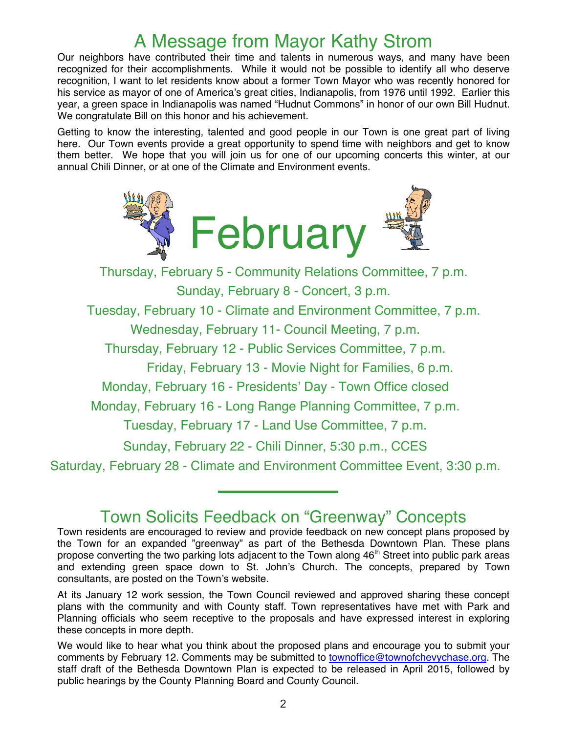# A Message from Mayor Kathy Strom

Our neighbors have contributed their time and talents in numerous ways, and many have been recognized for their accomplishments. While it would not be possible to identify all who deserve recognition, I want to let residents know about a former Town Mayor who was recently honored for his service as mayor of one of America's great cities, Indianapolis, from 1976 until 1992. Earlier this year, a green space in Indianapolis was named "Hudnut Commons" in honor of our own Bill Hudnut. We congratulate Bill on this honor and his achievement.

Getting to know the interesting, talented and good people in our Town is one great part of living here. Our Town events provide a great opportunity to spend time with neighbors and get to know them better. We hope that you will join us for one of our upcoming concerts this winter, at our annual Chili Dinner, or at one of the Climate and Environment events.



Thursday, February 5 - Community Relations Committee, 7 p.m. Sunday, February 8 - Concert, 3 p.m. Tuesday, February 10 - Climate and Environment Committee, 7 p.m. Wednesday, February 11- Council Meeting, 7 p.m. Thursday, February 12 - Public Services Committee, 7 p.m. Friday, February 13 - Movie Night for Families, 6 p.m. Monday, February 16 - Presidents' Day - Town Office closed Monday, February 16 - Long Range Planning Committee, 7 p.m. Tuesday, February 17 - Land Use Committee, 7 p.m. Sunday, February 22 - Chili Dinner, 5:30 p.m., CCES Saturday, February 28 - Climate and Environment Committee Event, 3:30 p.m.

# Town Solicits Feedback on "Greenway" Concepts

Town residents are encouraged to review and provide feedback on new concept plans proposed by the Town for an expanded "greenway" as part of the Bethesda Downtown Plan. These plans propose converting the two parking lots adjacent to the Town along 46<sup>th</sup> Street into public park areas and extending green space down to St. John's Church. The concepts, prepared by Town consultants, are posted on the Town's website.

At its January 12 work session, the Town Council reviewed and approved sharing these concept plans with the community and with County staff. Town representatives have met with Park and Planning officials who seem receptive to the proposals and have expressed interest in exploring these concepts in more depth.

We would like to hear what you think about the proposed plans and encourage you to submit your comments by February 12. Comments may be submitted to townoffice@townofchevychase.org. The staff draft of the Bethesda Downtown Plan is expected to be released in April 2015, followed by public hearings by the County Planning Board and County Council.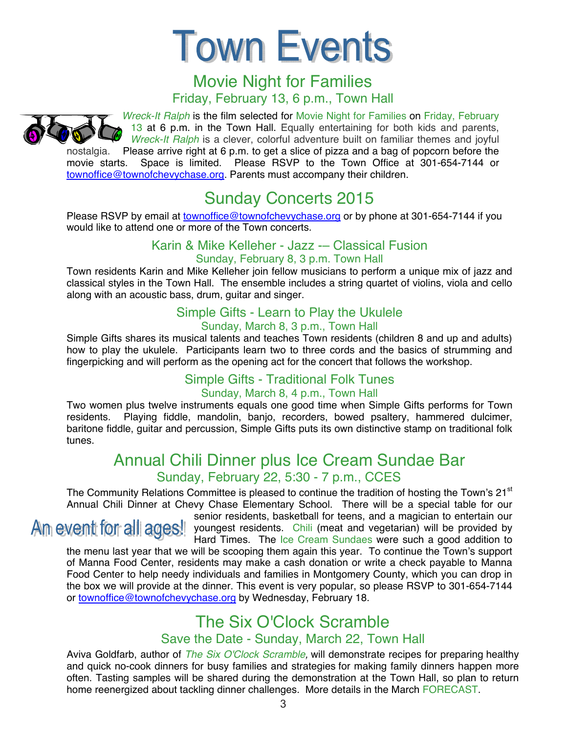# **Town Events**

## Movie Night for Families Friday, February 13, 6 p.m., Town Hall



*Wreck-It Ralph* is the film selected for Movie Night for Families on Friday, February 13 at 6 p.m. in the Town Hall. Equally entertaining for both kids and parents, *Wreck-It Ralph* is a clever, colorful adventure built on familiar themes and joyful

nostalgia. Please arrive right at 6 p.m. to get a slice of pizza and a bag of popcorn before the movie starts. Space is limited. Please RSVP to the Town Office at 301-654-7144 or Space is limited. Please RSVP to the Town Office at 301-654-7144 or townoffice@townofchevychase.org. Parents must accompany their children.

# Sunday Concerts 2015

Please RSVP by email at *townoffice@townofchevychase.org* or by phone at 301-654-7144 if you would like to attend one or more of the Town concerts.

### Karin & Mike Kelleher - Jazz -– Classical Fusion Sunday, February 8, 3 p.m. Town Hall

Town residents Karin and Mike Kelleher join fellow musicians to perform a unique mix of jazz and classical styles in the Town Hall. The ensemble includes a string quartet of violins, viola and cello along with an acoustic bass, drum, guitar and singer.

#### Simple Gifts - Learn to Play the Ukulele Sunday, March 8, 3 p.m., Town Hall

Simple Gifts shares its musical talents and teaches Town residents (children 8 and up and adults) how to play the ukulele. Participants learn two to three cords and the basics of strumming and fingerpicking and will perform as the opening act for the concert that follows the workshop.

## Simple Gifts - Traditional Folk Tunes

#### Sunday, March 8, 4 p.m., Town Hall

Two women plus twelve instruments equals one good time when Simple Gifts performs for Town residents. Playing fiddle, mandolin, banjo, recorders, bowed psaltery, hammered dulcimer, baritone fiddle, guitar and percussion, Simple Gifts puts its own distinctive stamp on traditional folk tunes.

# Annual Chili Dinner plus Ice Cream Sundae Bar Sunday, February 22, 5:30 - 7 p.m., CCES

The Community Relations Committee is pleased to continue the tradition of hosting the Town's  $21<sup>st</sup>$ Annual Chili Dinner at Chevy Chase Elementary School. There will be a special table for our

senior residents, basketball for teens, and a magician to entertain our Am event for all ages! youngest residents. Chili (meat and vegetarian) will be provided by Hard Times. The Ice Cream Sundaes were such a good addition to

the menu last year that we will be scooping them again this year. To continue the Town's support of Manna Food Center, residents may make a cash donation or write a check payable to Manna Food Center to help needy individuals and families in Montgomery County, which you can drop in the box we will provide at the dinner. This event is very popular, so please RSVP to 301-654-7144 or townoffice@townofchevychase.org by Wednesday, February 18.

## The Six O'Clock Scramble

### Save the Date - Sunday, March 22, Town Hall

Aviva Goldfarb, author of *The Six O'Clock Scramble,* will demonstrate recipes for preparing healthy and quick no-cook dinners for busy families and strategies for making family dinners happen more often. Tasting samples will be shared during the demonstration at the Town Hall, so plan to return home reenergized about tackling dinner challenges. More details in the March FORECAST.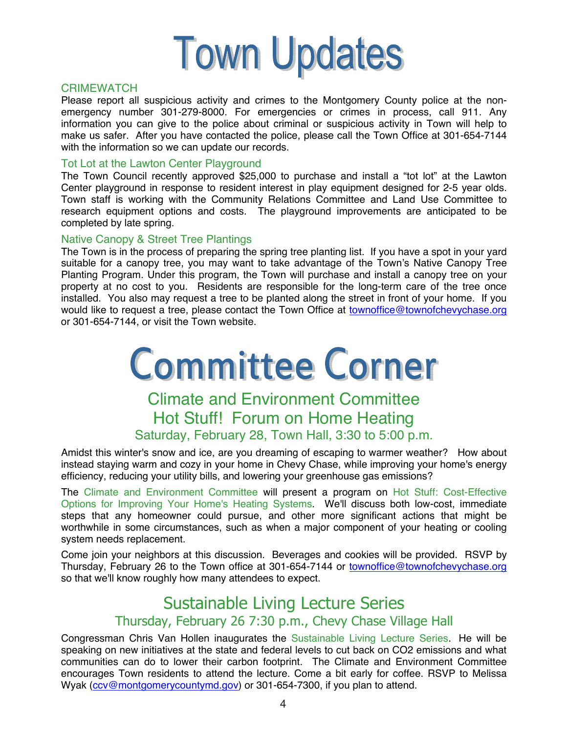

#### **CRIMEWATCH**

Please report all suspicious activity and crimes to the Montgomery County police at the nonemergency number 301-279-8000. For emergencies or crimes in process, call 911. Any information you can give to the police about criminal or suspicious activity in Town will help to make us safer. After you have contacted the police, please call the Town Office at 301-654-7144 with the information so we can update our records.

#### Tot Lot at the Lawton Center Playground

The Town Council recently approved \$25,000 to purchase and install a "tot lot" at the Lawton Center playground in response to resident interest in play equipment designed for 2-5 year olds. Town staff is working with the Community Relations Committee and Land Use Committee to research equipment options and costs. The playground improvements are anticipated to be completed by late spring.

#### Native Canopy & Street Tree Plantings

The Town is in the process of preparing the spring tree planting list. If you have a spot in your yard suitable for a canopy tree, you may want to take advantage of the Town's Native Canopy Tree Planting Program. Under this program, the Town will purchase and install a canopy tree on your property at no cost to you. Residents are responsible for the long-term care of the tree once installed. You also may request a tree to be planted along the street in front of your home. If you would like to request a tree, please contact the Town Office at townoffice@townofchevychase.org or 301-654-7144, or visit the Town website.



## Climate and Environment Committee Hot Stuff! Forum on Home Heating Saturday, February 28, Town Hall, 3:30 to 5:00 p.m.

Amidst this winter's snow and ice, are you dreaming of escaping to warmer weather? How about instead staying warm and cozy in your home in Chevy Chase, while improving your home's energy efficiency, reducing your utility bills, and lowering your greenhouse gas emissions?

The Climate and Environment Committee will present a program on Hot Stuff: Cost-Effective Options for Improving Your Home's Heating Systems. We'll discuss both low-cost, immediate steps that any homeowner could pursue, and other more significant actions that might be worthwhile in some circumstances, such as when a major component of your heating or cooling system needs replacement.

Come join your neighbors at this discussion. Beverages and cookies will be provided. RSVP by Thursday, February 26 to the Town office at 301-654-7144 or townoffice@townofchevychase.org so that we'll know roughly how many attendees to expect.

## Sustainable Living Lecture Series Thursday, February 26 7:30 p.m., Chevy Chase Village Hall

Congressman Chris Van Hollen inaugurates the Sustainable Living Lecture Series. He will be speaking on new initiatives at the state and federal levels to cut back on CO2 emissions and what communities can do to lower their carbon footprint. The Climate and Environment Committee encourages Town residents to attend the lecture. Come a bit early for coffee. RSVP to Melissa Wyak (cov@montgomerycountymd.gov) or 301-654-7300, if you plan to attend.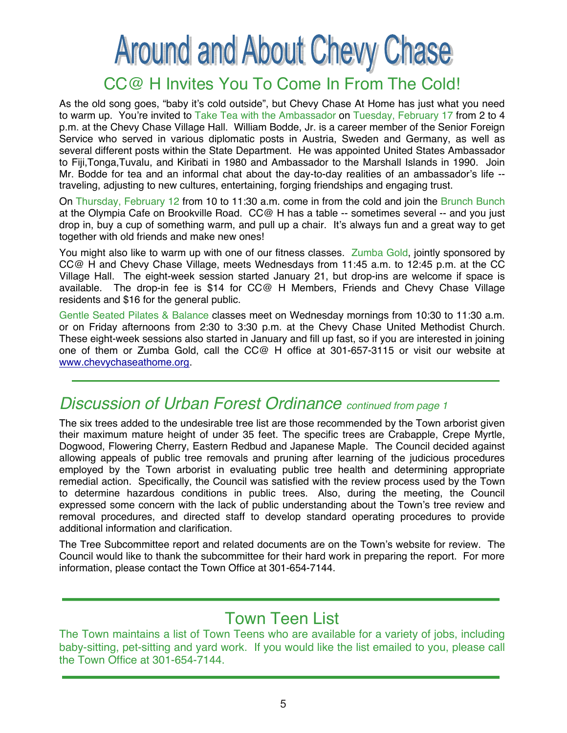# **Around and About Chevy Chase**

## CC@ H Invites You To Come In From The Cold!

As the old song goes, "baby it's cold outside", but Chevy Chase At Home has just what you need to warm up. You're invited to Take Tea with the Ambassador on Tuesday, February 17 from 2 to 4 p.m. at the Chevy Chase Village Hall. William Bodde, Jr. is a career member of the Senior Foreign Service who served in various diplomatic posts in Austria, Sweden and Germany, as well as several different posts within the State Department. He was appointed United States Ambassador to Fiji,Tonga,Tuvalu, and Kiribati in 1980 and Ambassador to the Marshall Islands in 1990. Join Mr. Bodde for tea and an informal chat about the day-to-day realities of an ambassador's life - traveling, adjusting to new cultures, entertaining, forging friendships and engaging trust.

On Thursday, February 12 from 10 to 11:30 a.m. come in from the cold and join the Brunch Bunch at the Olympia Cafe on Brookville Road. CC@ H has a table -- sometimes several -- and you just drop in, buy a cup of something warm, and pull up a chair. It's always fun and a great way to get together with old friends and make new ones!

You might also like to warm up with one of our fitness classes. Zumba Gold, jointly sponsored by CC@ H and Chevy Chase Village, meets Wednesdays from 11:45 a.m. to 12:45 p.m. at the CC Village Hall. The eight-week session started January 21, but drop-ins are welcome if space is available. The drop-in fee is \$14 for CC@ H Members, Friends and Chevy Chase Village residents and \$16 for the general public.

Gentle Seated Pilates & Balance classes meet on Wednesday mornings from 10:30 to 11:30 a.m. or on Friday afternoons from 2:30 to 3:30 p.m. at the Chevy Chase United Methodist Church. These eight-week sessions also started in January and fill up fast, so if you are interested in joining one of them or Zumba Gold, call the CC@ H office at 301-657-3115 or visit our website at www.chevychaseathome.org.

## *Discussion of Urban Forest Ordinance continued from page 1*

The six trees added to the undesirable tree list are those recommended by the Town arborist given their maximum mature height of under 35 feet. The specific trees are Crabapple, Crepe Myrtle, Dogwood, Flowering Cherry, Eastern Redbud and Japanese Maple. The Council decided against allowing appeals of public tree removals and pruning after learning of the judicious procedures employed by the Town arborist in evaluating public tree health and determining appropriate remedial action. Specifically, the Council was satisfied with the review process used by the Town to determine hazardous conditions in public trees. Also, during the meeting, the Council expressed some concern with the lack of public understanding about the Town's tree review and removal procedures, and directed staff to develop standard operating procedures to provide additional information and clarification.

The Tree Subcommittee report and related documents are on the Town's website for review. The Council would like to thank the subcommittee for their hard work in preparing the report. For more information, please contact the Town Office at 301-654-7144.

## Town Teen List

The Town maintains a list of Town Teens who are available for a variety of jobs, including baby-sitting, pet-sitting and yard work. If you would like the list emailed to you, please call the Town Office at 301-654-7144.